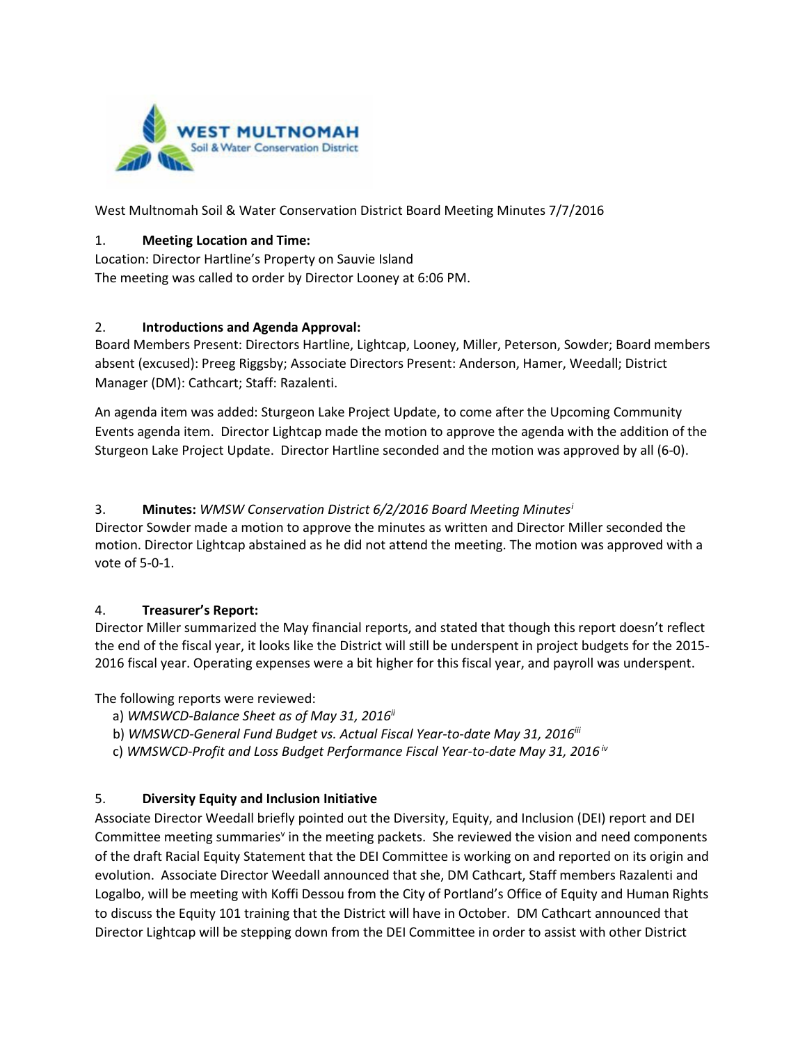

West Multnomah Soil & Water Conservation District Board Meeting Minutes 7/7/2016

#### 1. **Meeting Location and Time:**

Location: Director Hartline's Property on Sauvie Island The meeting was called to order by Director Looney at 6:06 PM.

#### 2. **Introductions and Agenda Approval:**

Board Members Present: Directors Hartline, Lightcap, Looney, Miller, Peterson, Sowder; Board members absent (excused): Preeg Riggsby; Associate Directors Present: Anderson, Hamer, Weedall; District Manager (DM): Cathcart; Staff: Razalenti.

An agenda item was added: Sturgeon Lake Project Update, to come after the Upcoming Community Events agenda item. Director Lightcap made the motion to approve the agenda with the addition of the Sturgeon Lake Project Update. Director Hartline seconded and the motion was approved by all (6-0).

## 3. **Minutes:** *WMSW Conservation District 6/2/2016 Board Meeting Minutes[i](#page-2-0)*

Director Sowder made a motion to approve the minutes as written and Director Miller seconded the motion. Director Lightcap abstained as he did not attend the meeting. The motion was approved with a vote of 5-0-1.

## 4. **Treasurer's Report:**

Director Miller summarized the May financial reports, and stated that though this report doesn't reflect the end of the fiscal year, it looks like the District will still be underspent in project budgets for the 2015- 2016 fiscal year. Operating expenses were a bit higher for this fiscal year, and payroll was underspent.

The following reports were reviewed:

- a) *WMSWCD-Balance Sheet as of May 31, 2016ii*
- b) *WMSWCD-General Fund Budget vs. Actual Fiscal Year-to-date May 31, 2016iii*
- c) *WMSWCD-Profit and Loss Budget Performance Fiscal Year-to-date May 31, 2016 iv*

## 5. **Diversity Equity and Inclusion Initiative**

Associate Director Weedall briefly pointed out the Diversity, Equity, and Inclusion (DEI) report and DEI Committee meeting summaries<sup>v</sup> in the meeting packets. She reviewed the vision and need components of the draft Racial Equity Statement that the DEI Committee is working on and reported on its origin and evolution. Associate Director Weedall announced that she, DM Cathcart, Staff members Razalenti and Logalbo, will be meeting with Koffi Dessou from the City of Portland's Office of Equity and Human Rights to discuss the Equity 101 training that the District will have in October. DM Cathcart announced that Director Lightcap will be stepping down from the DEI Committee in order to assist with other District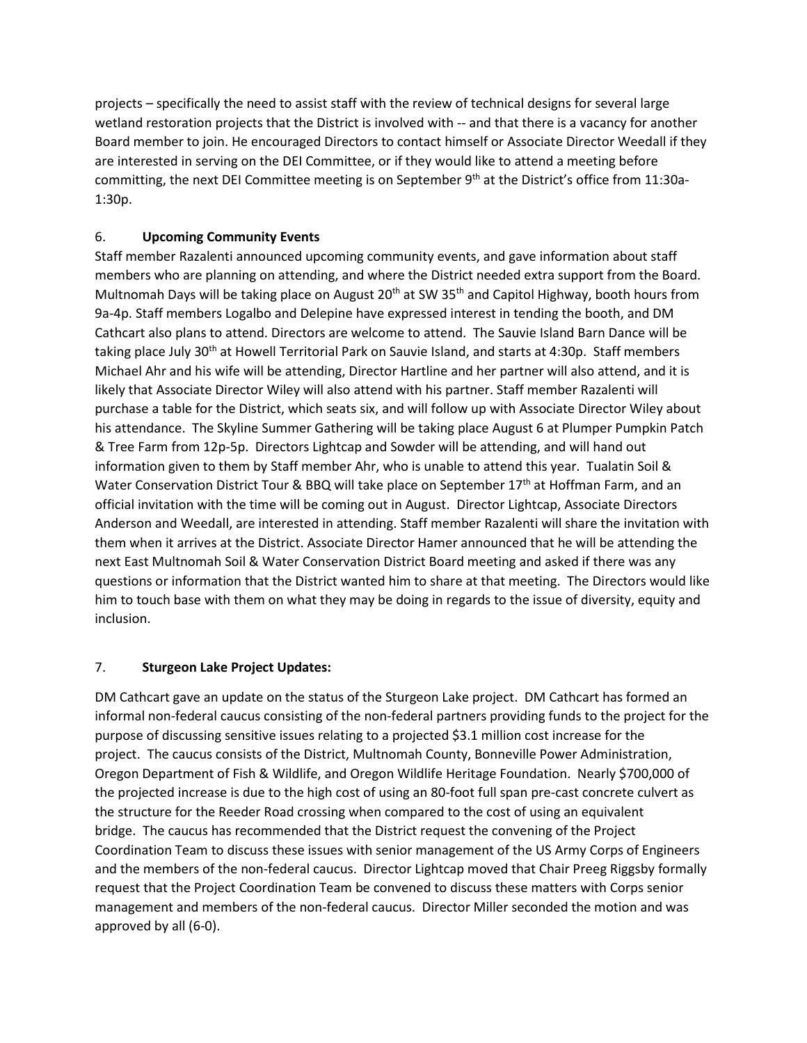projects – specifically the need to assist staff with the review of technical designs for several large wetland restoration projects that the District is involved with -- and that there is a vacancy for another Board member to join. He encouraged Directors to contact himself or Associate Director Weedall if they are interested in serving on the DEI Committee, or if they would like to attend a meeting before committing, the next DEI Committee meeting is on September 9<sup>th</sup> at the District's office from 11:30a-1:30p.

#### 6. **Upcoming Community Events**

Staff member Razalenti announced upcoming community events, and gave information about staff members who are planning on attending, and where the District needed extra support from the Board. Multnomah Days will be taking place on August 20<sup>th</sup> at SW 35<sup>th</sup> and Capitol Highway, booth hours from 9a-4p. Staff members Logalbo and Delepine have expressed interest in tending the booth, and DM Cathcart also plans to attend. Directors are welcome to attend. The Sauvie Island Barn Dance will be taking place July 30<sup>th</sup> at Howell Territorial Park on Sauvie Island, and starts at 4:30p. Staff members Michael Ahr and his wife will be attending, Director Hartline and her partner will also attend, and it is likely that Associate Director Wiley will also attend with his partner. Staff member Razalenti will purchase a table for the District, which seats six, and will follow up with Associate Director Wiley about his attendance. The Skyline Summer Gathering will be taking place August 6 at Plumper Pumpkin Patch & Tree Farm from 12p-5p. Directors Lightcap and Sowder will be attending, and will hand out information given to them by Staff member Ahr, who is unable to attend this year. Tualatin Soil & Water Conservation District Tour & BBQ will take place on September 17<sup>th</sup> at Hoffman Farm, and an official invitation with the time will be coming out in August. Director Lightcap, Associate Directors Anderson and Weedall, are interested in attending. Staff member Razalenti will share the invitation with them when it arrives at the District. Associate Director Hamer announced that he will be attending the next East Multnomah Soil & Water Conservation District Board meeting and asked if there was any questions or information that the District wanted him to share at that meeting. The Directors would like him to touch base with them on what they may be doing in regards to the issue of diversity, equity and inclusion.

#### 7. **Sturgeon Lake Project Updates:**

DM Cathcart gave an update on the status of the Sturgeon Lake project. DM Cathcart has formed an informal non-federal caucus consisting of the non-federal partners providing funds to the project for the purpose of discussing sensitive issues relating to a projected \$3.1 million cost increase for the project. The caucus consists of the District, Multnomah County, Bonneville Power Administration, Oregon Department of Fish & Wildlife, and Oregon Wildlife Heritage Foundation. Nearly \$700,000 of the projected increase is due to the high cost of using an 80-foot full span pre-cast concrete culvert as the structure for the Reeder Road crossing when compared to the cost of using an equivalent bridge. The caucus has recommended that the District request the convening of the Project Coordination Team to discuss these issues with senior management of the US Army Corps of Engineers and the members of the non-federal caucus. Director Lightcap moved that Chair Preeg Riggsby formally request that the Project Coordination Team be convened to discuss these matters with Corps senior management and members of the non-federal caucus. Director Miller seconded the motion and was approved by all (6-0).